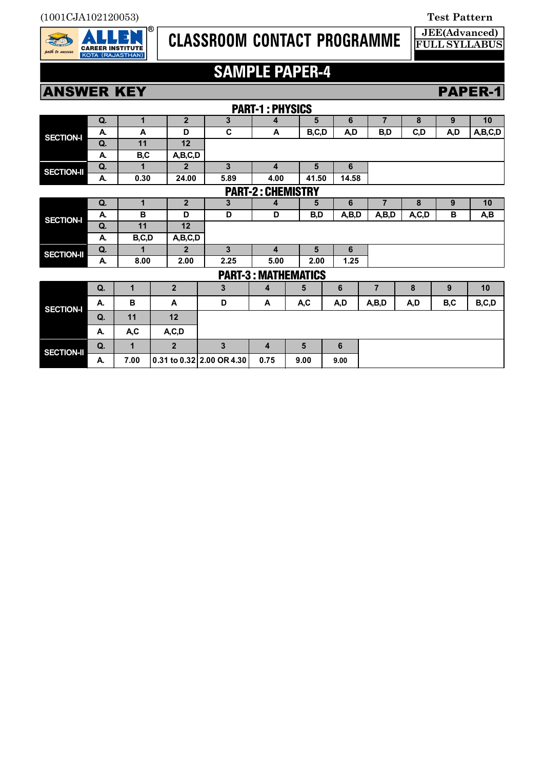

# **CLASSROOM CONTACT PROGRAMME**

#### **JEE(Advanced) FULL SYLLABUS**

# **SAMPLE PAPER-4**

**ANSWER KEY PAPER-1** 

| <b>PART-1: PHYSICS</b>     |    |              |                |                           |                         |       |        |       |                |       |     |         |
|----------------------------|----|--------------|----------------|---------------------------|-------------------------|-------|--------|-------|----------------|-------|-----|---------|
|                            | Q. | $\mathbf 1$  | $\overline{2}$ | 3                         | 4                       | 5     |        | 6     | $\overline{7}$ | 8     | 9   | 10      |
| <b>SECTION-I</b>           | А. | A            | D              | C                         | A                       | B,C,D |        | A,D   | B,D            | C, D  | A,D | A,B,C,D |
|                            | Q. | 11           | 12             |                           |                         |       |        |       |                |       |     |         |
|                            | А. | B,C          | A,B,C,D        |                           |                         |       |        |       |                |       |     |         |
| <b>SECTION-II</b>          | Q. | 1            | $\overline{2}$ | 3                         | $\overline{\mathbf{4}}$ |       | 5<br>6 |       |                |       |     |         |
|                            | А. | 0.30         | 24.00          | 5.89                      | 4.00                    | 41.50 |        | 14.58 |                |       |     |         |
| <b>PART-2: CHEMISTRY</b>   |    |              |                |                           |                         |       |        |       |                |       |     |         |
| <b>SECTION-I</b>           | Q. | $\mathbf{1}$ | $\overline{2}$ | 3                         | 4                       | 5     |        | 6     | $\overline{7}$ | 8     | 9   | 10      |
|                            | А. | B            | D              | D                         | D                       | B,D   |        | A,B,D | A,B,D          | A,C,D | B   | A,B     |
|                            | Q. | 11           | 12             |                           |                         |       |        |       |                |       |     |         |
|                            | А. | B,C,D        | A,B,C,D        |                           |                         |       |        |       |                |       |     |         |
| <b>SECTION-II</b>          | Q. | 1            | $\overline{2}$ | 3                         | $\overline{\mathbf{4}}$ | 5     |        | 6     |                |       |     |         |
|                            | А. | 8.00         | 2.00           | 2.25                      | 5.00                    | 2.00  |        | 1.25  |                |       |     |         |
| <b>PART-3: MATHEMATICS</b> |    |              |                |                           |                         |       |        |       |                |       |     |         |
| <b>SECTION-I</b>           | Q. | 1            | $\overline{2}$ | 3                         | 4                       | 5     | 6      |       | $\overline{7}$ | 8     | 9   | 10      |
|                            | А. | B            | A              | D                         | A                       | A,C   | A,D    |       | A,B,D          | A,D   | B,C | B,C,D   |
|                            | Q. | 11           | 12             |                           |                         |       |        |       |                |       |     |         |
|                            | А. | A,C          | A, C, D        |                           |                         |       |        |       |                |       |     |         |
| <b>SECTION-II</b>          | Q. | $\mathbf 1$  | $\overline{2}$ | 3                         | 4                       | 5     | 6      |       |                |       |     |         |
|                            | А. | 7.00         |                | 0.31 to 0.32 2.00 OR 4.30 | 0.75                    | 9.00  | 9.00   |       |                |       |     |         |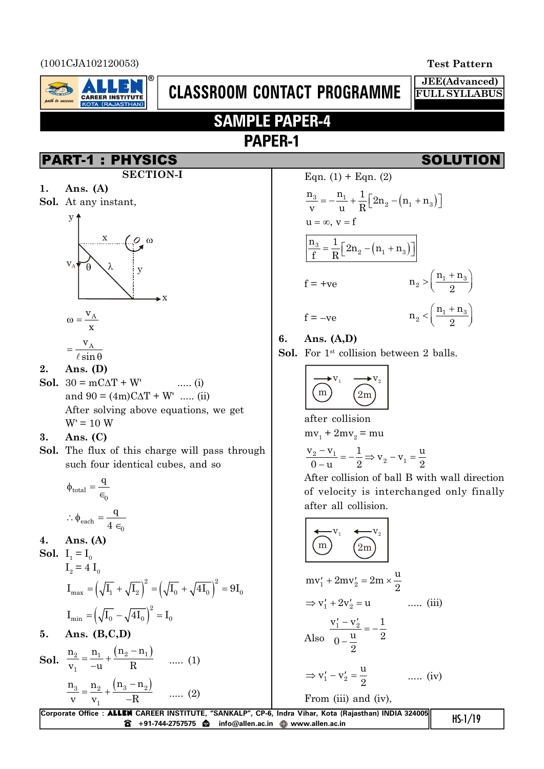(1001CJA102120053) **Test Pattern**



# **CLASSROOM CONTACT PROGRAMME**

**JEE(Advanced) FULL SYLLABUS**

# **SAMPLE PAPER-4 PAPER-1**

## PART-1 : PHYSICS SOLUTION

- **SECTION-I**
- **1. Ans. (A)**
- **Sol.** At any instant,



$$
\omega = \frac{v_A}{x}
$$

$$
= \frac{v_A}{\sqrt{1 - v_A}}
$$

$$
-\ell \sin \theta
$$

- **2. Ans. (D)**
- **Sol.**  $30 = mC\Delta T + W'$  ..... (i) and  $90 = (4m)C\Delta T + W'$  ..... (ii) After solving above equations, we get  $W' = 10 W$

### **3. Ans. (C)**

**Sol.** The flux of this charge will pass through such four identical cubes, and so

$$
\phi_{total} = \frac{q}{\epsilon_0}
$$

$$
\therefore \phi_{each} = \frac{q}{4 \epsilon_0}
$$

**4. Ans. (A)**

**Sol.** 
$$
I_1 = I_0
$$
  
\n $I_2 = 4 I_0$   
\n $I_{max} = (\sqrt{I_1} + \sqrt{I_2})^2 = (\sqrt{I_0} + \sqrt{4I_0})^2 = 9I_0$   
\n $I_{min} = (\sqrt{I_0} - \sqrt{4I_0})^2 = I_0$ 

0

**5. Ans. (B,C,D)**

**Sol.**  $\frac{n_2}{n_1} = \frac{n_1}{n_1} + \frac{(n_2 - n_1)}{n_2}$ 1  $n_2$  n<sub>1</sub>  $(n_2 - n)$  $v_1$  -u R  $\overline{a}$  $=\frac{11}{1}$  +  $\frac{1}{-u} + \frac{2}{R}$  ..... (1)  $a_3$   $n_2$   $(n_3 - n_2)$ 1  $n_3$  n<sub>2</sub>  $(n_3 - n)$ v  $v_1$  –R  $\overline{a}$  $=\frac{11}{2} +$  $\frac{27}{-R}$  ..... (2)

Eqn. (1) + Eqn. (2)  
\n
$$
\frac{n_3}{v} = -\frac{n_1}{u} + \frac{1}{R} \Big[ 2n_2 - (n_1 + n_3) \Big]
$$
\n
$$
u = \infty, v = f
$$
\n
$$
\frac{n_3}{f} = \frac{1}{R} \Big[ 2n_2 - (n_1 + n_3) \Big]
$$
\n
$$
f = +ve
$$
\n
$$
n_2 > \Big( \frac{n_1 + n_3}{2} \Big)
$$
\n
$$
f = -ve
$$
\n
$$
n_2 < \Big( \frac{n_1 + n_3}{2} \Big)
$$

**6. Ans. (A,D)**

Sol. For 1<sup>st</sup> collision between 2 balls.

$$
\overrightarrow{\text{m}}^{V_1} \quad \overrightarrow{\text{m}}^{V_2}
$$

after collision  $mv_1 + 2mv_2 = mu$ 

$$
\frac{v_2 - v_1}{0 - u} = -\frac{1}{2} \Rightarrow v_2 - v_1 = \frac{u}{2}
$$

After collision of ball B with wall direction of velocity is interchanged only finally after all collision.

$$
\overbrace{\text{m}}^{v_1} \quad \overbrace{\text{2m}}^{v_2}
$$

$$
mv'_1 + 2mv'_2 = 2m \times \frac{u}{2}
$$
  
\n
$$
\Rightarrow v'_1 + 2v'_2 = u \qquad \qquad \dots \text{ (iii)}
$$
  
\n
$$
\frac{v'_1 - v'_2}{v_2} = -\frac{1}{2}
$$

Also 
$$
\frac{u}{0-\frac{u}{2}} = -\frac{1}{2}
$$

$$
\Rightarrow \mathbf{v}_1' - \mathbf{v}_2' = \frac{\mathbf{u}}{2} \qquad \qquad \dots \text{ (iv)}
$$

From (iii) and (iv),

| Corporate Office: ALLEN CAREER INSTITUTE, "SANKALP", CP-6, Indra Vihar, Kota (Rajasthan) INDIA 324005 |           |
|-------------------------------------------------------------------------------------------------------|-----------|
| ☎ +91-744-2757575 ✿  info@allen.ac.in @ www.allen.ac.in                                               | $HS-1/19$ |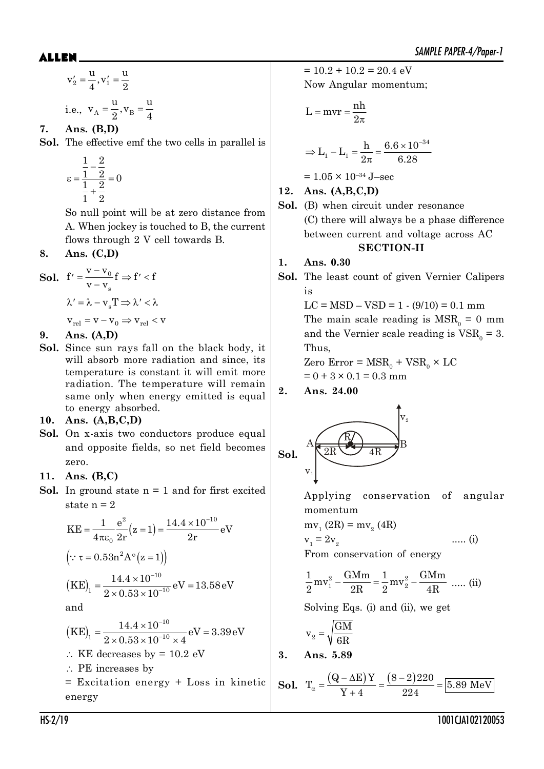$$
v'_2 = \frac{u}{4}, v'_1 = \frac{u}{2}
$$
  
i.e.,  $v_A = \frac{u}{2}, v_B = \frac{u}{4}$ 

**7. Ans. (B,D)**

**Sol.** The effective emf the two cells in parallel is

$$
\varepsilon = \frac{\frac{1}{1} - \frac{2}{2}}{\frac{1}{1} + \frac{2}{2}} = 0
$$

So null point will be at zero distance from A. When jockey is touched to B, the current flows through 2 V cell towards B.

8. Ans. 
$$
(C,D)
$$

**Sol.** 
$$
f' = \frac{v - v_0}{v - v_s} f \Rightarrow f' < f
$$
  
\n $\lambda' = \lambda - v_s T \Rightarrow \lambda' < \lambda$   
\n $v_{rel} = v - v_0 \Rightarrow v_{rel} < v$ 

**9. Ans. (A,D)**

**Sol.** Since sun rays fall on the black body, it will absorb more radiation and since, its temperature is constant it will emit more radiation. The temperature will remain same only when energy emitted is equal to energy absorbed.

#### **10. Ans. (A,B,C,D)**

**Sol.** On x-axis two conductors produce equal and opposite fields, so net field becomes zero.

### **11. Ans. (B,C)**

**Sol.** In ground state  $n = 1$  and for first excited state  $n = 2$ 

$$
KE = \frac{1}{4\pi\varepsilon_0} \frac{e^2}{2r} (z=1) = \frac{14.4 \times 10^{-10}}{2r} eV
$$
  
\n( $\because \tau = 0.53n^2 A^\circ (z=1)$ )  
\n
$$
(KE)_1 = \frac{14.4 \times 10^{-10}}{2 \times 0.53 \times 10^{-10}} eV = 13.58 eV
$$

and

$$
(KE)_{1} = \frac{14.4 \times 10^{-10}}{2 \times 0.53 \times 10^{-10} \times 4} eV = 3.39 eV
$$

- $\therefore$  KE decreases by = 10.2 eV
- $\therefore$  PE increases by
- = Excitation energy + Loss in kinetic energy

 $= 10.2 + 10.2 = 20.4$  eV Now Angular momentum;

$$
L = mvr = \frac{nh}{2\pi}
$$

$$
\Rightarrow L_1 - L_1 = \frac{h}{2\pi} = \frac{6.6 \times 10^{-34}}{6.28}
$$

 $= 1.05 \times 10^{-34}$  J-sec

**12. Ans. (A,B,C,D)**

**Sol.** (B) when circuit under resonance (C) there will always be a phase difference between current and voltage across AC **SECTION-II**

### **1. Ans. 0.30**

**Sol.** The least count of given Vernier Calipers is

> $LC = MSD - VSD = 1 - (9/10) = 0.1$  mm The main scale reading is  $MSR_0 = 0$  mm and the Vernier scale reading is  $VSR_0 = 3$ . Thus,

 $\text{Zero Error} = \text{MSR}_0 + \text{VSR}_0 \times \text{LC}$ 

$$
= 0 + 3 \times 0.1 = 0.3
$$
 mm

**2. Ans. 24.00**



Applying conservation of angular momentum

$$
mv_1(2R) = mv_2(4R)
$$

$$
\mathbf{v}_1 = 2\mathbf{v}_2 \tag{i}
$$

From conservation of energy

$$
\frac{1}{2}mv_1^2 - \frac{GMm}{2R} = \frac{1}{2}mv_2^2 - \frac{GMm}{4R}
$$
 ..... (ii)

Solving Eqs. (i) and (ii), we get

$$
v_2 = \sqrt{\frac{GM}{6R}}
$$

**3. Ans. 5.89**

**Sol.** 
$$
T_{\alpha} = \frac{(Q - \Delta E)Y}{Y + 4} = \frac{(8 - 2)220}{224} = 5.89 \text{ MeV}
$$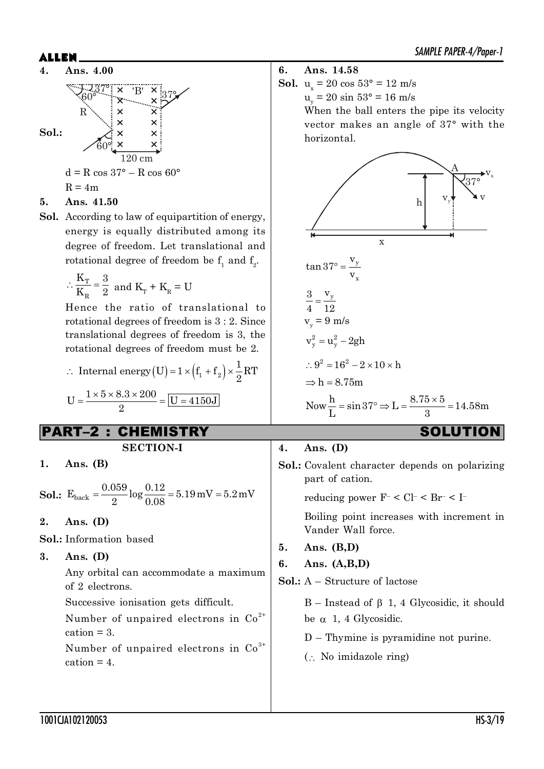

### **5. Ans. 41.50**

**Sol.** According to law of equipartition of energy, energy is equally distributed among its degree of freedom. Let translational and rotational degree of freedom be  $f_1$  and  $f_2$ .

$$
\therefore \frac{K_T}{K_R} = \frac{3}{2} \text{ and } K_T + K_R = U
$$

Hence the ratio of translational to rotational degrees of freedom is 3 : 2. Since translational degrees of freedom is 3, the rotational degrees of freedom must be 2.

$$
\therefore \text{ Internal energy (U)} = 1 \times (f_1 + f_2) \times \frac{1}{2} RT
$$

$$
U = \frac{1 \times 5 \times 8.3 \times 200}{2} = \boxed{U = 4150 \text{J}}
$$

## PART–2 : CHEMISTRY SOLUTION

#### **SECTION-I**

**1. Ans. (B)**

**Sol.:**  $E_{\text{back}} = \frac{0.059}{8} \log \frac{0.12}{0.08} = 5.19 \text{ mV} = 5.2 \text{ mV}$ 2  $\sim 0.08$  $=$ 

**2. Ans. (D)**

**Sol.:** Information based

**3. Ans. (D)**

Any orbital can accommodate a maximum of 2 electrons.

Successive ionisation gets difficult.

Number of unpaired electrons in  $Co<sup>2+</sup>$  $cation = 3.$ 

Number of unpaired electrons in  $Co<sup>3+</sup>$  $cation = 4$ .

**6. Ans. 14.58**

**Sol.**  $u_x = 20 \cos 53^\circ = 12 \text{ m/s}$ 

 $u_y = 20 \sin 53^\circ = 16 \text{ m/s}$ 

When the ball enters the pipe its velocity vector makes an angle of 37° with the horizontal.



### **4. Ans. (D)**

**Sol.:** Covalent character depends on polarizing part of cation. reducing power  $F^{-} < Cl^{-} < Br^{-} < I^{-}$ Boiling point increases with increment in Vander Wall force. **5. Ans. (B,D) 6. Ans. (A,B,D) Sol.:** A – Structure of lactose  $B$  – Instead of  $\beta$  1, 4 Glycosidic, it should

be  $\alpha$  1, 4 Glycosidic.

D – Thymine is pyramidine not purine.

 $\left( \cdot \right)$ . No imidazole ring)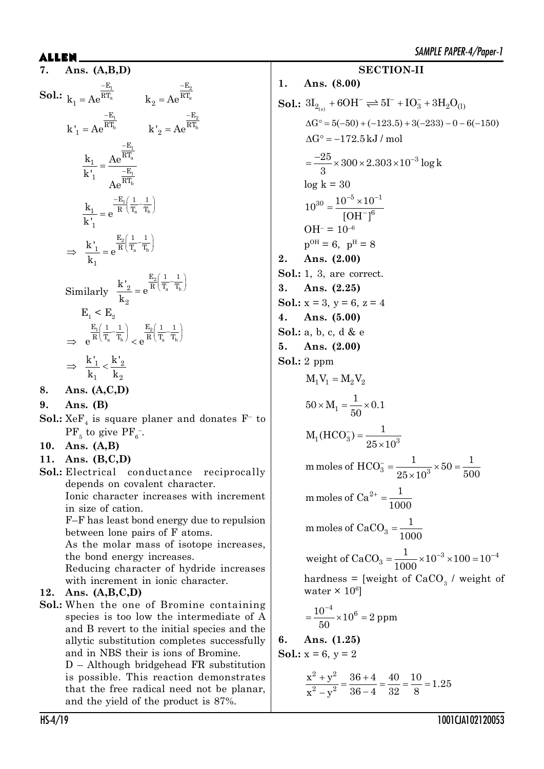**7. Ans. (A,B,D)**  $\text{Sol.:}$   $\frac{1}{k}$   $\frac{-E_1}{\text{A}}$   $\frac{1}{k}$   $\frac{1}{\text{A}}$   $\frac{1}{k}$   $\frac{1}{\text{A}}$   $\frac{1}{k}$ a  $\mathbf{k} - \mathbf{A} \mathbf{\Omega}^{\mathbf{H} \mathbf{I}_{\text{a}}}$  $E_1$  – E  $k_1 = Ae^{RT_a}$   $k_2 = Ae^{RT_a}$  $-E_1$   $-I$  $=$  $\frac{-\mathbf{E}_2}{2}$ b  $\mathbf{k}^{\dagger} - \mathbf{\Delta} \mathbf{\Omega}^{\mathbf{n} \mathbf{1}}$  $E_1$  – E  $k'_{1} = Ae^{RT_{b}}$   $k'_{2} = Ae^{RT_{c}}$  $-E_1$   $-I$  $=$ 1 a 1 b E  $\frac{1}{1}$   $=$   $\frac{\text{Ae}}{\text{RT}_{3}}$  $\frac{-E}{1}$   $\frac{-E}{R}$  $k_1$  Ae k' Ae  $\overline{a}$  $=\frac{1}{\sqrt{2}}$ 1 a b  $E_1(1 \ 1$  $\frac{k_1}{k_1} = e^{-\frac{1}{R}\left(\frac{1}{T_a} - \frac{1}{T_a}\right)}$ 1 k'  $= e^{\frac{-E_1}{R} \left( \frac{1}{T_a} - \frac{1}{T_b} \right)}$ a b  $E_2(1 \ 1$  $\frac{k'}{1} = e^{\frac{-2}{R} \left(\frac{\pi}{T_a} - \frac{\pi}{R}\right)}$ 1 k  $\Rightarrow$   $\frac{k'}{1} = e^{\frac{E_2}{R} \left( \frac{1}{T_a} - \frac{1}{T_b} \right)}$ Similarly 2 a b  $E_2(1 \ 1$  $\frac{2}{2}$  –  $\alpha$ <sup>R</sup> $\left(T_a$ <sup>T</sup> 2  $\frac{k'}{2}$  = e k  $= e^{\frac{E_2}{R} \left( \frac{1}{T_a} - \frac{1}{T_b} \right)}$  $E_1$  <  $E_2$  $1 \begin{pmatrix} 1 & 1 \\ 1 & 1 \end{pmatrix}$   $\qquad \qquad 2 \begin{pmatrix} 1 & 1 \\ 1 & 1 \end{pmatrix}$ a  $\frac{1}{b}$   $\frac{1}{c}$   $\frac{1}{a}$   $\frac{1}{b}$  $E_1(1 \ 1) \ E_2(1 \ 1)$  $e^{R(T_a-T_b)} < e^{R(T_a-T_a)}$  $\left(\frac{1}{\mathbf{T}}-\frac{1}{\mathbf{T}}\right)$   $\frac{\mathbf{E}_2}{\mathbf{E}}\left(\frac{1}{\mathbf{T}}-\frac{1}{\mathbf{T}}\right)$  $\Rightarrow e^{R(T_a-T_b)} < e^{R(T_a-T_b)}$  $1 \times 2$  $\mathbf{a}_1$   $\mathbf{a}_2$  $k'_{1}$  k'  $k_1$  k  $\Rightarrow$   $\frac{1}{1}$  < -

**8. Ans. (A,C,D)**

**9. Ans. (B)**

 ${\bf Sol.:}~{\rm XeF}_4$  is square planer and donates  ${\rm F}^-$  to  $\rm PF_{\rm 5}$  to give  $\rm PF_{\rm 6}^{-1}$ .

**10. Ans. (A,B)**

- **11. Ans. (B,C,D)**
- **Sol.:** Electrical conductance reciprocally depends on covalent character.

Ionic character increases with increment in size of cation.

F–F has least bond energy due to repulsion between lone pairs of F atoms.

As the molar mass of isotope increases, the bond energy increases.

Reducing character of hydride increases with increment in ionic character.

### **12. Ans. (A,B,C,D)**

**Sol.:** When the one of Bromine containing species is too low the intermediate of A and B revert to the initial species and the allytic substitution completes successfully and in NBS their is ions of Bromine.

D – Although bridgehead FR substitution is possible. This reaction demonstrates that the free radical need not be planar, and the yield of the product is 87%.

**1. Ans. (8.00) Sol.:**  $3I_{2_{(s)}} + 6OH^- \rightleftharpoons 5I^- + IO_3^- + 3H_2O_{(1)}$  $\Delta G^{\circ} = 5(-50) + (-123.5) + 3(-233) - 0 - 6(-150)$  $\Delta G^{\circ} = -172.5 \text{ kJ}$  / mol  $\frac{25}{2}$  × 300 × 2.303 × 10<sup>-3</sup> log k 3  $=\frac{-25}{2} \times 300 \times 2.303 \times 10^{-7}$  $log k = 30$  $_{30}\mathrm{{_ \_\,10^{-5}} \times 10^{-1}}$  $10^{30} = \frac{10^{-5} \times 10}{10^{11} \text{ m/s}}$  $[OH^-]$  $-5$   $\times$  1 0 $-1$  $\overline{a}$  $=\frac{10^{-5} \times}{ }$  $OH^- = 10^{-6}$  $p^{OH} = 6$ ,  $p^{H} = 8$ **2. Ans. (2.00) Sol.:** 1, 3, are correct. **3. Ans. (2.25) Sol.:**  $x = 3$ ,  $y = 6$ ,  $z = 4$ **4. Ans. (5.00) Sol.:** a, b, c, d & e **5. Ans. (2.00) Sol.:** 2 ppm  $M_1V_1 = M_2V_2$ 1  $50 \times M_1 = \frac{1}{20} \times 0.1$ 50  $\times M_1 = \frac{1}{\pi \epsilon} \times$  $M_1(HCO_3^-) = \frac{1}{25 \times 10^3}$  $25 \times 10$  $(\frac{1}{3}) =$  $\times$ m moles of  $HCO_3^- = \frac{1}{25 \times 10^3} \times 50 = \frac{1}{50}$  $25 \times 10^3$  500  $\frac{1}{3} = \frac{1}{\sqrt{2}} \times 50 =$  $\times$ m moles of  $Ca^{2+} = \frac{1}{2a}$ 1000  $+$  = m moles of CaCO<sub>3</sub> =  $\frac{1}{100}$ 1000  $=$  $3 \times 100 - 10^{-4}$ 3 weight of  $CaCO<sub>3</sub> = \frac{1}{1000} \times 10^{-3} \times 100 = 10$ 1000  $=\frac{1}{1000} \times 10^{-3} \times 100 = 10^{-4}$ hardness = [weight of  $CaCO<sub>3</sub>$  / weight of water  $\times 10^6$ ]  $\frac{10^{-4}}{20}$  × 10<sup>6</sup> = 2 ppm 50  $\overline{a}$  $=\frac{10}{10} \times 10^6$ **6. Ans. (1.25) Sol.:**  $x = 6$ ,  $y = 2$ 

**SECTION-II**

 $2, 2$  $\frac{x^2 + y^2}{x^2 - x^2} = \frac{36 + 4}{36 - 4} = \frac{40}{32} = \frac{10}{8} = 1.25$  $x^2 - y^2$  36 - 4 32 8  $\frac{+y^2}{a} = \frac{36+z}{1}$  $-\,\mathrm{y}^2$  36 –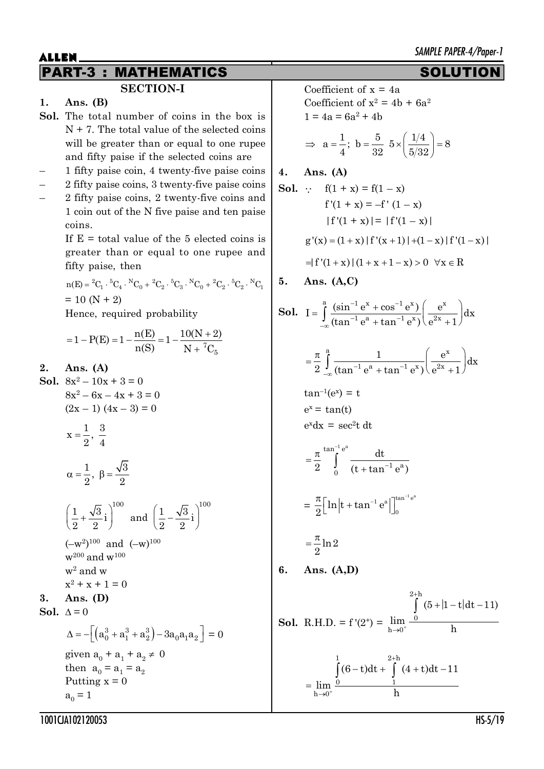| ALLEN |                                                                                                                                                              |    | SAMPLE PAPER-4/Paper-1                                                                                                                      |  |  |
|-------|--------------------------------------------------------------------------------------------------------------------------------------------------------------|----|---------------------------------------------------------------------------------------------------------------------------------------------|--|--|
|       | <b>MATHEMATICS</b><br><b>PART-3</b><br>Е                                                                                                                     |    | <b>SOLUTION</b>                                                                                                                             |  |  |
|       | <b>SECTION-I</b>                                                                                                                                             |    | Coefficient of $x = 4a$                                                                                                                     |  |  |
| 1.    | Ans. $(B)$<br>Sol. The total number of coins in the box is                                                                                                   |    | Coefficient of $x^2 = 4b + 6a^2$<br>$1 = 4a = 6a^2 + 4b$                                                                                    |  |  |
|       | $N + 7$ . The total value of the selected coins                                                                                                              |    |                                                                                                                                             |  |  |
|       | will be greater than or equal to one rupee                                                                                                                   |    | $\Rightarrow$ a = $\frac{1}{4}$ ; b = $\frac{5}{32}$ 5 × $\left(\frac{1/4}{5/32}\right)$ = 8                                                |  |  |
|       | and fifty paise if the selected coins are                                                                                                                    |    |                                                                                                                                             |  |  |
|       | 1 fifty paise coin, 4 twenty-five paise coins                                                                                                                | 4. | Ans. $(A)$                                                                                                                                  |  |  |
|       | 2 fifty paise coins, 3 twenty-five paise coins                                                                                                               |    | <b>Sol.</b> $\therefore$ $f(1 + x) = f(1 - x)$                                                                                              |  |  |
|       | 2 fifty paise coins, 2 twenty-five coins and                                                                                                                 |    | $f'(1 + x) = -f'(1 - x)$                                                                                                                    |  |  |
|       | 1 coin out of the N five paise and ten paise                                                                                                                 |    |                                                                                                                                             |  |  |
|       | coins.                                                                                                                                                       |    | $ f'(1 + x)  =  f'(1 - x) $                                                                                                                 |  |  |
|       | If $E =$ total value of the 5 elected coins is                                                                                                               |    | $g'(x) = (1+x)  f'(x+1)  + (1-x)  f'(1-x) $                                                                                                 |  |  |
|       | greater than or equal to one rupee and<br>fifty paise, then                                                                                                  |    | $=  f'(1+x)  (1+x+1-x) > 0 \quad \forall x \in R$                                                                                           |  |  |
|       | $n(E) = {}^{2}C_{1} \cdot {}^{5}C_{4} \cdot {}^{N}C_{0} + {}^{2}C_{2} \cdot {}^{5}C_{3} \cdot {}^{N}C_{0} + {}^{2}C_{2} \cdot {}^{5}C_{2} \cdot {}^{N}C_{1}$ | 5. | Ans. $(A, C)$                                                                                                                               |  |  |
|       | $= 10 (N + 2)$                                                                                                                                               |    |                                                                                                                                             |  |  |
|       | Hence, required probability                                                                                                                                  |    | <b>Sol.</b> $I = \int_0^a \frac{(\sin^{-1} e^x + \cos^{-1} e^x)}{(\tan^{-1} e^a + \tan^{-1} e^x)} \left( \frac{e^x}{e^{2x} + 1} \right) dx$ |  |  |
|       |                                                                                                                                                              |    |                                                                                                                                             |  |  |
|       | $=1-P(E)=1-\frac{n(E)}{n(S)}=1-\frac{10(N+2)}{N+7C}$                                                                                                         |    |                                                                                                                                             |  |  |
| 2.    | Ans. $(A)$                                                                                                                                                   |    | $=\frac{\pi}{2}\int_{0}^{\frac{\pi}{2}} \frac{1}{(\tan^{-1} \theta^2 + \tan^{-1} \theta^2)} \left(\frac{e^x}{e^{2x}+1}\right) dx$           |  |  |
|       | <b>Sol.</b> $8x^2 - 10x + 3 = 0$                                                                                                                             |    |                                                                                                                                             |  |  |
|       | $8x^2 - 6x - 4x + 3 = 0$                                                                                                                                     |    | $tan^{-1}(e^x) = t$                                                                                                                         |  |  |
|       | $(2x-1)$ $(4x-3) = 0$                                                                                                                                        |    | $e^x = \tan(t)$                                                                                                                             |  |  |
|       |                                                                                                                                                              |    | $e^{x}dx = \sec^2 t dt$                                                                                                                     |  |  |
|       | $x = \frac{1}{2}, \frac{3}{4}$                                                                                                                               |    |                                                                                                                                             |  |  |
|       |                                                                                                                                                              |    | $=\frac{\pi}{2}^{\tan^{-1} e^a} \frac{dt}{(t + \tan^{-1} e^a)}$                                                                             |  |  |
|       | $\alpha = \frac{1}{2}, \ \beta = \frac{\sqrt{3}}{2}$                                                                                                         |    |                                                                                                                                             |  |  |
|       |                                                                                                                                                              |    |                                                                                                                                             |  |  |
|       |                                                                                                                                                              |    | $= \frac{\pi}{2} \left[ \ln \left  t + \tan^{-1} e^a \right  \right]_0^{\tan^{-1} e^a}$                                                     |  |  |
|       | $\left(\frac{1}{2} + \frac{\sqrt{3}}{2}i\right)^{100}$ and $\left(\frac{1}{2} - \frac{\sqrt{3}}{2}i\right)^{100}$                                            |    |                                                                                                                                             |  |  |
|       |                                                                                                                                                              |    |                                                                                                                                             |  |  |
|       | $(-w^2)^{100}$ and $(-w)^{100}$                                                                                                                              |    | $=\frac{\pi}{2}$ ln 2                                                                                                                       |  |  |
|       | $w^{200}$ and $w^{100}$                                                                                                                                      |    |                                                                                                                                             |  |  |
|       | $w^2$ and $w$                                                                                                                                                | 6. | Ans. $(A,D)$                                                                                                                                |  |  |
|       | $x^2 + x + 1 = 0$                                                                                                                                            |    |                                                                                                                                             |  |  |
| 3.    | Ans. $(D)$                                                                                                                                                   |    | $\int (5+ 1-t dt-11)$                                                                                                                       |  |  |
|       | Sol. $\Delta = 0$                                                                                                                                            |    | <b>Sol.</b> R.H.D. = $f'(2^+) = \lim_{h \to 0^+} \frac{1}{h}$                                                                               |  |  |
|       | $\Delta = - \left  \left( a_0^3 + a_1^3 + a_2^3 \right) - 3 a_0 a_1 a_2 \right  = 0$                                                                         |    |                                                                                                                                             |  |  |
|       | given $a_0 + a_1 + a_2 \neq 0$                                                                                                                               |    |                                                                                                                                             |  |  |
|       | then $a_0 = a_1 = a_2$                                                                                                                                       |    |                                                                                                                                             |  |  |
|       | Putting $x = 0$                                                                                                                                              |    | $=\lim_{h\to 0^+}\frac{\int_0^1(6-t)dt+\int_1^{2+h}(4+t)dt-11}{h}$                                                                          |  |  |
|       | $a_0 = 1$                                                                                                                                                    |    |                                                                                                                                             |  |  |
|       | 1001CJA102120053                                                                                                                                             |    | $HS-5/19$                                                                                                                                   |  |  |
|       |                                                                                                                                                              |    |                                                                                                                                             |  |  |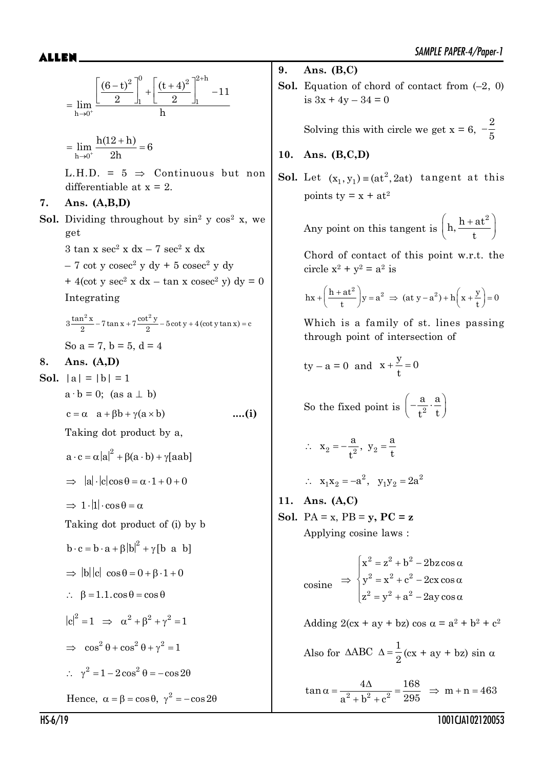$$
= \lim_{h \to 0^+} \frac{\left[\frac{(6-t)^2}{2}\right]_1^0 + \left[\frac{(t+4)^2}{2}\right]_1^{2+h}}{h} - 11
$$

$$
= \lim_{h \to 0^+} \frac{h(12 + h)}{2h} = 6
$$

L.H.D. =  $5 \Rightarrow$  Continuous but non differentiable at  $x = 2$ .

#### **7. Ans. (A,B,D)**

**Sol.** Dividing throughout by  $\sin^2 y \cos^2 x$ , we get  $3 \tan x \sec^2 x dx - 7 \sec^2 x dx$ 

> $-7 \cot y \csc^2 y \, dy + 5 \csc^2 y \, dy$  $+4(\cot y \sec^2 x dx - \tan x \csc^2 y) dy = 0$

Integrating

 $3\frac{\tan^2 x}{2}$  – 7 tan x + 7  $\frac{\cot^2 y}{2}$  – 5 cot y + 4 (cot y tan x) = c So  $a = 7$ ,  $b = 5$ ,  $d = 4$ 

#### **8. Ans. (A,D)**

**Sol.**  $|a| = |b| = 1$  $a \cdot b = 0$ ; (as  $a \perp b$ )  $c = \alpha$  a +  $\beta b$  +  $\gamma(a \times b)$  ....(i)

Taking dot product by a,

$$
a \cdot c = \alpha |a|^2 + \beta(a \cdot b) + \gamma [aab]
$$
  
\n
$$
\Rightarrow |a| \cdot |c| \cos \theta = \alpha \cdot 1 + 0 + 0
$$

 $\Rightarrow$  1  $\cdot$  |1|  $\cdot$  cos  $\theta$  =  $\alpha$ 

Taking dot product of (i) by b

$$
b \cdot c = b \cdot a + \beta |b|^2 + \gamma [b \ a \ b]
$$

$$
\Rightarrow |b| |c| \ \cos \theta = 0 + \beta \cdot 1 + 0
$$

$$
\therefore \quad \beta = 1.1 \cdot \cos \theta = \cos \theta
$$

$$
|c|^2 = 1 \implies \alpha^2 + \beta^2 + \gamma^2 = 1
$$
  

$$
\implies \cos^2 \theta + \cos^2 \theta + \gamma^2 = 1
$$

 $\therefore \gamma^2 = 1 - 2\cos^2\theta = -\cos 2\theta$ 

Hence, 
$$
\alpha = \beta = \cos \theta
$$
,  $\gamma^2 = -\cos 2\theta$ 

**9. Ans. (B,C)**

**Sol.** Equation of chord of contact from (–2, 0) is  $3x + 4y - 34 = 0$ 

> Solving this with circle we get  $x = 6$ ,  $-\frac{2}{5}$ 5

#### **10. Ans. (B,C,D)**

**Sol.** Let  $(x_1, y_1) = (at^2, 2at)$  tangent at this points ty =  $x + at^2$ 

Any point on this tangent is 
$$
\left(h, \frac{h + at^2}{t}\right)
$$

Chord of contact of this point w.r.t. the circle  $x^2 + y^2 = a^2$  is

$$
hx + \left(\frac{h+at^2}{t}\right)y = a^2 \implies (at\ y - a^2) + h\left(x + \frac{y}{t}\right) = 0
$$

Which is a family of st. lines passing through point of intersection of

$$
ty - a = 0 \text{ and } x + \frac{y}{t} = 0
$$

So the fixed point is  $\left[-\frac{1}{2}\right]$ a a  $t^2$  t  $\left(-\frac{a}{t^2}\cdot\frac{a}{t}\right)$ 

$$
\therefore \quad x_2 = -\frac{a}{t^2}, \ \ y_2 = \frac{a}{t}
$$

$$
\therefore
$$
 x<sub>1</sub>x<sub>2</sub> = -a<sup>2</sup>, y<sub>1</sub>y<sub>2</sub> = 2a<sup>2</sup>

**11. Ans. (A,C) Sol.** PA = x, PB = **y, PC = z**

Applying cosine laws :

$$
\cosine \Rightarrow \begin{cases} x^2 = z^2 + b^2 - 2bz \cos \alpha \\ y^2 = x^2 + c^2 - 2cx \cos \alpha \\ z^2 = y^2 + a^2 - 2ay \cos \alpha \end{cases}
$$

Adding  $2(cx + ay + bz) cos \alpha = a^2 + b^2 + c^2$ 

Also for 
$$
\triangle ABC \triangle = \frac{1}{2} (cx + ay + bz) \sin \alpha
$$

 $\alpha = \frac{4\Delta}{a^2 + b^2 + c^2} = \frac{168}{295} \Rightarrow m + n = 4$  $\tan \alpha = \frac{4\Delta}{a^2} = \frac{168}{2.5} \Rightarrow m + n = 463$  $a^2 + b^2 + c^2$  295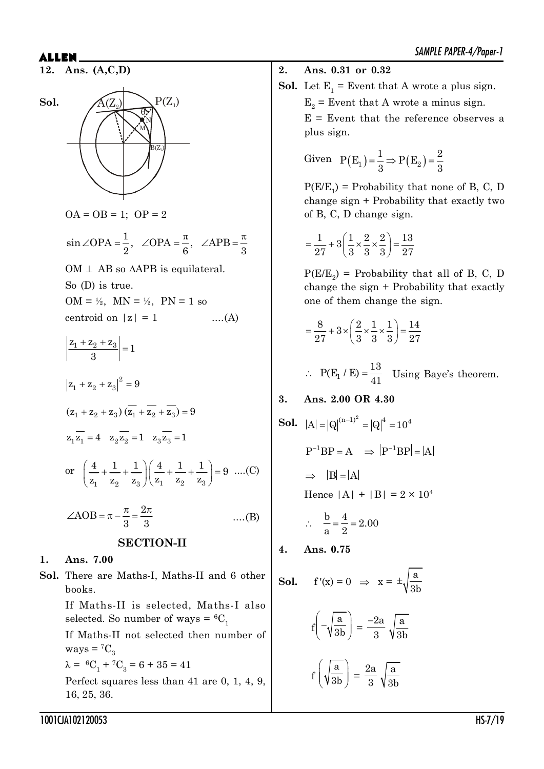**12. Ans. (A,C,D)**



 $OA = OB = 1$ ;  $OP = 2$ 

$$
\sin \angle OPA = \frac{1}{2}
$$
,  $\angle OPA = \frac{\pi}{6}$ ,  $\angle APB = \frac{\pi}{3}$ 

OM  $\perp$  AB so  $\triangle$ APB is equilateral.

So (D) is true.

 $OM = \frac{1}{2}$ ,  $MN = \frac{1}{2}$ ,  $PN = 1$  so

centroid on  $|z| = 1$  ....(A)

$$
\left|\frac{z_1 + z_2 + z_3}{3}\right| = 1
$$
  
\n
$$
\left|z_1 + z_2 + z_3\right|^2 = 9
$$
  
\n
$$
(z_1 + z_2 + z_3) \left(\overline{z_1} + \overline{z_2} + \overline{z_3}\right) = 9
$$
  
\n
$$
z_1 \overline{z_1} = 4 \quad z_2 \overline{z_2} = 1 \quad z_3 \overline{z_3} = 1
$$
  
\nor 
$$
\left(\frac{4}{z_1} + \frac{1}{z_2} + \frac{1}{z_3}\right) \left(\frac{4}{z_1} + \frac{1}{z_2} + \frac{1}{z_3}\right) = 9 \quad ....(C)
$$
  
\n
$$
\angle AOB = \pi - \frac{\pi}{3} = \frac{2\pi}{3} \quad ....(B)
$$
  
\n**SECTION-II**

#### **1. Ans. 7.00**

**Sol.** There are Maths-I, Maths-II and 6 other books.

If Maths-II is selected, Maths-I also selected. So number of ways =  ${}^6C_1$ 

If Maths-II not selected then number of ways =  ${}^7C_3$ 

 $\lambda = {}^{6}C_{1} + {}^{7}C_{3} = 6 + 35 = 41$ 

Perfect squares less than 41 are 0, 1, 4, 9, 16, 25, 36.

**2. Ans. 0.31 or 0.32**

**Sol.** Let 
$$
E_1
$$
 = Event that A wrote a plus sign.  $E_2$  = Event that A wrote a minus sign.  $E$  = Event that the reference observes a plus sign.

Given 
$$
P(E_1) = \frac{1}{3} \Rightarrow P(E_2) = \frac{2}{3}
$$

 $P(E/E_1)$  = Probability that none of B, C, D change sign + Probability that exactly two of B, C, D change sign.

$$
=\frac{1}{27}+3\left(\frac{1}{3}\times\frac{2}{3}\times\frac{2}{3}\right)=\frac{13}{27}
$$

 $P(E/E_2)$  = Probability that all of B, C, D change the sign + Probability that exactly one of them change the sign.

$$
= \frac{8}{27} + 3 \times \left(\frac{2}{3} \times \frac{1}{3} \times \frac{1}{3}\right) = \frac{14}{27}
$$

 $P(E_1 / E) = \frac{13}{41}$  $\therefore$  P(E<sub>1</sub> / E) =  $\frac{16}{41}$  Using Baye's theorem.

**3. Ans. 2.00 OR 4.30**

**Sol.** 
$$
|A| = |Q|^{(n-1)^2} = |Q|^4 = 10^4
$$
  
\n $P^{-1}BP = A \implies |P^{-1}BP| = |A|$   
\n $\implies |B| = |A|$   
\nHence  $|A| + |B| = 2 \times 10^4$   
\n $\therefore \frac{b}{a} = \frac{4}{2} = 2.00$ 

**4. Ans. 0.75**

**Sol.** 
$$
f'(x) = 0 \implies x = \pm \sqrt{\frac{a}{3b}}
$$
  
 $f\left(-\sqrt{\frac{a}{3b}}\right) = \frac{-2a}{3} \sqrt{\frac{a}{3b}}$   
 $f\left(\sqrt{\frac{a}{3b}}\right) = \frac{2a}{3} \sqrt{\frac{a}{3b}}$